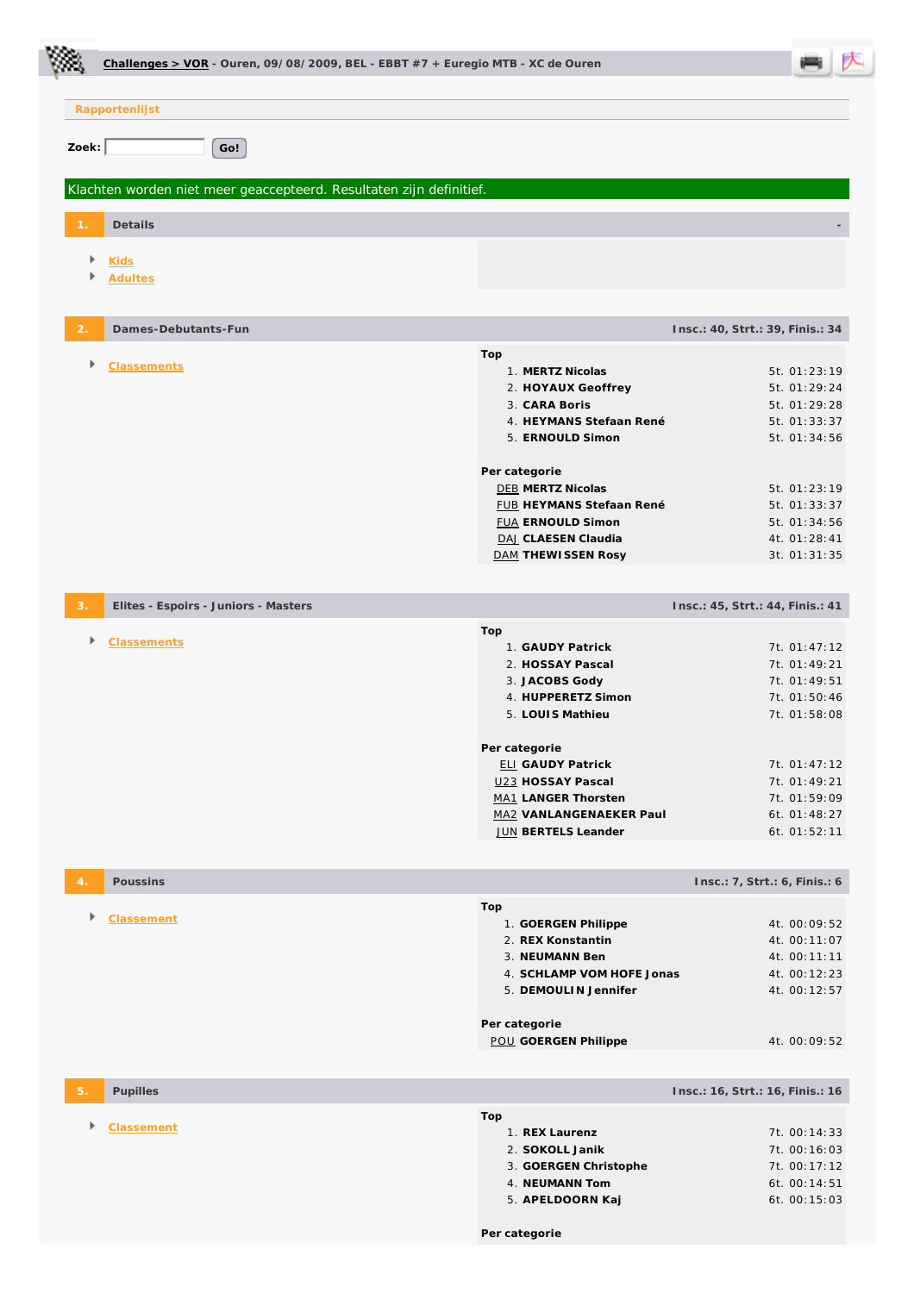|       | Challenges > VOR - Ouren, 09/08/2009, BEL - EBBT #7 + Euregio MTB - XC de Ouren |                                                                                                                                                                                                                                                                               |                                                                                                                                                              |  |
|-------|---------------------------------------------------------------------------------|-------------------------------------------------------------------------------------------------------------------------------------------------------------------------------------------------------------------------------------------------------------------------------|--------------------------------------------------------------------------------------------------------------------------------------------------------------|--|
|       | Rapportenlijst                                                                  |                                                                                                                                                                                                                                                                               |                                                                                                                                                              |  |
| Zoek: | Go!                                                                             |                                                                                                                                                                                                                                                                               |                                                                                                                                                              |  |
|       | Klachten worden niet meer geaccepteerd. Resultaten zijn definitief.             |                                                                                                                                                                                                                                                                               |                                                                                                                                                              |  |
|       | Details                                                                         |                                                                                                                                                                                                                                                                               |                                                                                                                                                              |  |
|       | <b>Kids</b><br><b>Adultes</b>                                                   |                                                                                                                                                                                                                                                                               |                                                                                                                                                              |  |
| 2.    | Dames-Debutants-Fun                                                             |                                                                                                                                                                                                                                                                               | Insc.: 40, Strt.: 39, Finis.: 34                                                                                                                             |  |
| Þ.    | <b>Classements</b>                                                              | Top<br>1. MERTZ Nicolas<br>2. HOYAUX Geoffrey<br>3. CARA Boris<br>4. HEYMANS Stefaan René<br>5. ERNOULD Simon<br>Per categorie<br><b>DEB MERTZ Nicolas</b><br><b>FUB HEYMANS Stefaan René</b><br><b>FUA ERNOULD Simon</b><br>DAJ CLAESEN Claudia<br><b>DAM THEWISSEN Rosy</b> | 5t. 01:23:19<br>5t. 01:29:24<br>5t. 01:29:28<br>5t. 01:33:37<br>5t. 01:34:56<br>5t. 01:23:19<br>5t. 01:33:37<br>5t. 01:34:56<br>4t. 01:28:41<br>3t. 01:31:35 |  |
| 3.    | Elites - Espoirs - Juniors - Masters                                            |                                                                                                                                                                                                                                                                               | Insc.: 45, Strt.: 44, Finis.: 41                                                                                                                             |  |
| Þ     | <b>Classements</b>                                                              | Top<br>1. GAUDY Patrick<br>2. HOSSAY Pascal<br>3. JACOBS Gody<br>4. HUPPERETZ Simon<br>5. LOUIS Mathieu<br>Per categorie<br><b>ELI GAUDY Patrick</b><br>U23 HOSSAY Pascal<br>MA1 LANGER Thorsten<br>MA2 VANLANGENAEKER Paul<br>JUN BERTELS Leander                            | 7t. 01:47:12<br>7t. 01:49:21<br>7t. 01:49:51<br>7t. 01:50:46<br>7t. 01:58:08<br>7t. 01:47:12<br>7t. 01:49:21<br>7t. 01:59:09<br>6t. 01:48:27<br>6t. 01:52:11 |  |
|       | Poussins                                                                        |                                                                                                                                                                                                                                                                               | Insc.: 7, Strt.: 6, Finis.: 6                                                                                                                                |  |
|       | Classement                                                                      | Top<br>1. GOERGEN Philippe<br>2. REX Konstantin<br>3. NEUMANN Ben<br>4. SCHLAMP VOM HOFE Jonas<br>5. DEMOULIN Jennifer<br>Per categorie<br><b>POU GOERGEN Philippe</b>                                                                                                        | 4t. 00:09:52<br>4t. 00:11:07<br>4t. 00:11:11<br>4t. 00:12:23<br>4t. 00:12:57<br>4t. 00:09:52                                                                 |  |
|       | Pupilles                                                                        |                                                                                                                                                                                                                                                                               | Insc.: 16, Strt.: 16, Finis.: 16                                                                                                                             |  |
|       | <b>Classement</b>                                                               | Top<br>1. REX Laurenz<br>2. SOKOLL Janik<br>3. GOERGEN Christophe<br>4. NEUMANN Tom<br>5. APELDOORN Kaj<br>Per categorie                                                                                                                                                      | 7t. 00:14:33<br>7t. 00:16:03<br>7t. 00:17:12<br>6t. 00:14:51<br>6t. 00:15:03                                                                                 |  |

Ċ.